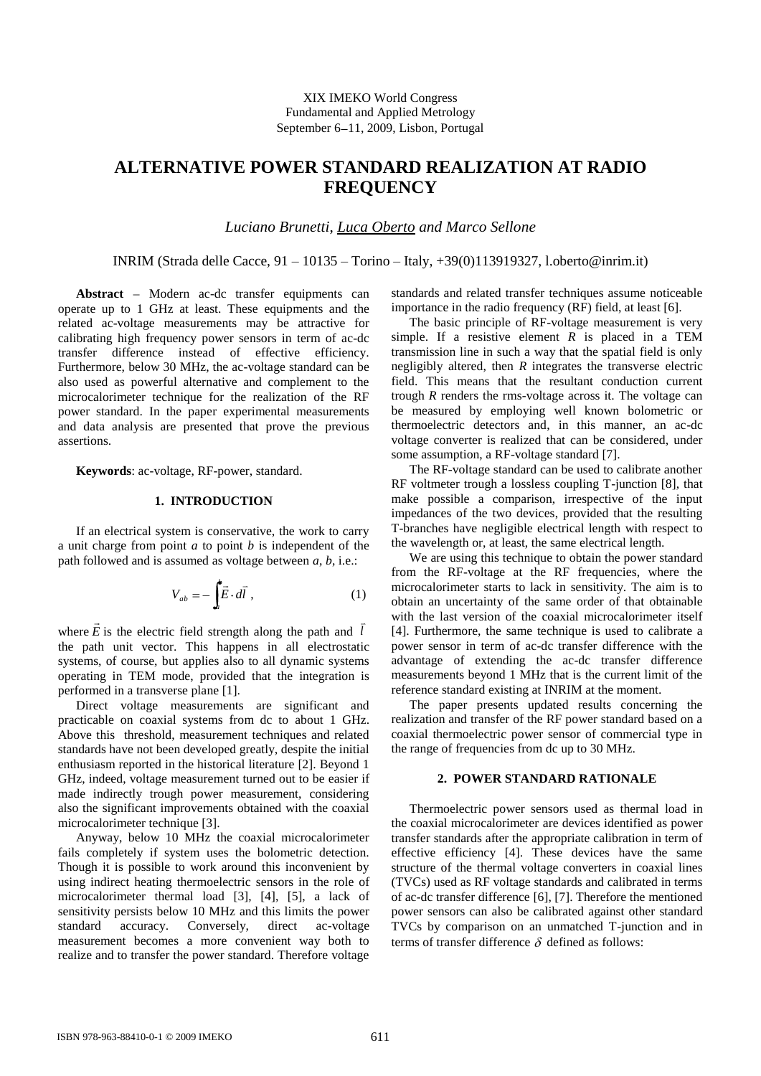# **ALTERNATIVE POWER STANDARD REALIZATION AT RADIO FREQUENCY**

*Luciano Brunetti*, *Luca Oberto and Marco Sellone*

INRIM (Strada delle Cacce, 91 – 10135 – Torino – Italy, +39(0)113919327, l.oberto@inrim.it)

Abstract - Modern ac-dc transfer equipments can operate up to 1 GHz at least. These equipments and the related ac-voltage measurements may be attractive for calibrating high frequency power sensors in term of ac-dc transfer difference instead of effective efficiency. Furthermore, below 30 MHz, the ac-voltage standard can be also used as powerful alternative and complement to the microcalorimeter technique for the realization of the RF power standard. In the paper experimental measurements and data analysis are presented that prove the previous assertions.

**Keywords**: ac-voltage, RF-power, standard.

# **1. INTRODUCTION**

If an electrical system is conservative, the work to carry a unit charge from point *a* to point *b* is independent of the path followed and is assumed as voltage between *a*, *b*, i.e.:

$$
V_{ab} = -\int_{a} \vec{E} \cdot d\vec{l} , \qquad (1)
$$

where *E*  $\overline{\phantom{a}}$ is the electric field strength along the path and *l*  $\overline{a}$ the path unit vector. This happens in all electrostatic systems, of course, but applies also to all dynamic systems operating in TEM mode, provided that the integration is performed in a transverse plane [1].

Direct voltage measurements are significant and practicable on coaxial systems from dc to about 1 GHz. Above this threshold, measurement techniques and related standards have not been developed greatly, despite the initial enthusiasm reported in the historical literature [2]. Beyond 1 GHz, indeed, voltage measurement turned out to be easier if made indirectly trough power measurement, considering also the significant improvements obtained with the coaxial microcalorimeter technique [3].

Anyway, below 10 MHz the coaxial microcalorimeter fails completely if system uses the bolometric detection. Though it is possible to work around this inconvenient by using indirect heating thermoelectric sensors in the role of microcalorimeter thermal load [3], [4], [5], a lack of sensitivity persists below 10 MHz and this limits the power standard accuracy. Conversely, direct ac-voltage measurement becomes a more convenient way both to realize and to transfer the power standard. Therefore voltage

standards and related transfer techniques assume noticeable importance in the radio frequency (RF) field, at least [6].

The basic principle of RF-voltage measurement is very simple. If a resistive element  $R$  is placed in a TEM transmission line in such a way that the spatial field is only negligibly altered, then *R* integrates the transverse electric field. This means that the resultant conduction current trough *R* renders the rms-voltage across it. The voltage can be measured by employing well known bolometric or thermoelectric detectors and, in this manner, an ac-dc voltage converter is realized that can be considered, under some assumption, a RF-voltage standard [7].

The RF-voltage standard can be used to calibrate another RF voltmeter trough a lossless coupling T-junction [8], that make possible a comparison, irrespective of the input impedances of the two devices, provided that the resulting T-branches have negligible electrical length with respect to the wavelength or, at least, the same electrical length.

We are using this technique to obtain the power standard from the RF-voltage at the RF frequencies, where the microcalorimeter starts to lack in sensitivity. The aim is to obtain an uncertainty of the same order of that obtainable with the last version of the coaxial microcalorimeter itself [4]. Furthermore, the same technique is used to calibrate a power sensor in term of ac-dc transfer difference with the advantage of extending the ac-dc transfer difference measurements beyond 1 MHz that is the current limit of the reference standard existing at INRIM at the moment.

The paper presents updated results concerning the realization and transfer of the RF power standard based on a coaxial thermoelectric power sensor of commercial type in the range of frequencies from dc up to 30 MHz.

## **2. POWER STANDARD RATIONALE**

Thermoelectric power sensors used as thermal load in the coaxial microcalorimeter are devices identified as power transfer standards after the appropriate calibration in term of effective efficiency [4]. These devices have the same structure of the thermal voltage converters in coaxial lines (TVCs) used as RF voltage standards and calibrated in terms of ac-dc transfer difference [6], [7]. Therefore the mentioned power sensors can also be calibrated against other standard TVCs by comparison on an unmatched T-junction and in terms of transfer difference  $\delta$  defined as follows: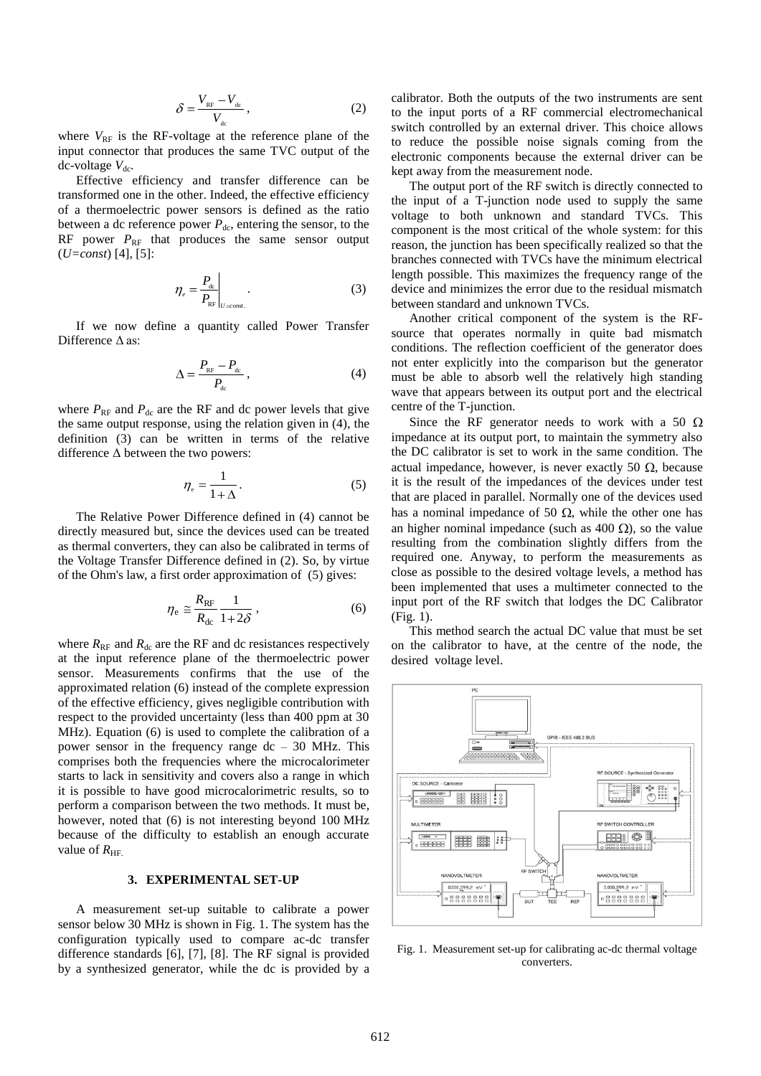$$
\delta = \frac{V_{\rm RF} - V_{\rm dc}}{V_{\rm dc}}\,,\tag{2}
$$

where  $V_{RF}$  is the RF-voltage at the reference plane of the input connector that produces the same TVC output of the  $dc$ -voltage  $V_{dc}$ .

Effective efficiency and transfer difference can be transformed one in the other. Indeed, the effective efficiency of a thermoelectric power sensors is defined as the ratio between a dc reference power  $P_{dc}$ , entering the sensor, to the RF power  $P_{RF}$  that produces the same sensor output (*U=const*) [4], [5]:

$$
\eta_e = \frac{P_{\text{dc}}}{P_{\text{RF}}}\Big|_{U = const.} \tag{3}
$$

If we now define a quantity called Power Transfer Difference Δ as:

$$
\Delta = \frac{P_{_{\rm RF}} - P_{_{\rm dc}}}{P_{_{\rm dc}}},\tag{4}
$$

where  $P_{RF}$  and  $P_{dc}$  are the RF and dc power levels that give the same output response, using the relation given in (4), the definition (3) can be written in terms of the relative difference  $\Delta$  between the two powers:

$$
\eta_{\rm e} = \frac{1}{1 + \Delta} \,. \tag{5}
$$

The Relative Power Difference defined in (4) cannot be directly measured but, since the devices used can be treated as thermal converters, they can also be calibrated in terms of the Voltage Transfer Difference defined in (2). So, by virtue of the Ohm's law, a first order approximation of (5) gives:

$$
\eta_{\rm e} \cong \frac{R_{\rm RF}}{R_{\rm dc}} \frac{1}{1 + 2\delta} \,, \tag{6}
$$

where  $R_{RF}$  and  $R_{dc}$  are the RF and dc resistances respectively at the input reference plane of the thermoelectric power sensor. Measurements confirms that the use of the approximated relation (6) instead of the complete expression of the effective efficiency, gives negligible contribution with respect to the provided uncertainty (less than 400 ppm at 30 MHz). Equation (6) is used to complete the calibration of a power sensor in the frequency range dc – 30 MHz. This comprises both the frequencies where the microcalorimeter starts to lack in sensitivity and covers also a range in which it is possible to have good microcalorimetric results, so to perform a comparison between the two methods. It must be, however, noted that (6) is not interesting beyond 100 MHz because of the difficulty to establish an enough accurate value of  $R_{\text{HF}}$ .

# **3. EXPERIMENTAL SET-UP**

A measurement set-up suitable to calibrate a power sensor below 30 MHz is shown in Fig. 1. The system has the configuration typically used to compare ac-dc transfer difference standards [6], [7], [8]. The RF signal is provided by a synthesized generator, while the dc is provided by a calibrator. Both the outputs of the two instruments are sent to the input ports of a RF commercial electromechanical switch controlled by an external driver. This choice allows to reduce the possible noise signals coming from the electronic components because the external driver can be kept away from the measurement node.

The output port of the RF switch is directly connected to the input of a T-junction node used to supply the same voltage to both unknown and standard TVCs. This component is the most critical of the whole system: for this reason, the junction has been specifically realized so that the branches connected with TVCs have the minimum electrical length possible. This maximizes the frequency range of the device and minimizes the error due to the residual mismatch between standard and unknown TVCs.

Another critical component of the system is the RFsource that operates normally in quite bad mismatch conditions. The reflection coefficient of the generator does not enter explicitly into the comparison but the generator must be able to absorb well the relatively high standing wave that appears between its output port and the electrical centre of the T-junction.

Since the RF generator needs to work with a 50  $\Omega$ impedance at its output port, to maintain the symmetry also the DC calibrator is set to work in the same condition. The actual impedance, however, is never exactly 50  $\Omega$ , because it is the result of the impedances of the devices under test that are placed in parallel. Normally one of the devices used has a nominal impedance of 50  $\Omega$ , while the other one has an higher nominal impedance (such as 400  $\Omega$ ), so the value resulting from the combination slightly differs from the required one. Anyway, to perform the measurements as close as possible to the desired voltage levels, a method has been implemented that uses a multimeter connected to the input port of the RF switch that lodges the DC Calibrator (Fig. 1).

This method search the actual DC value that must be set on the calibrator to have, at the centre of the node, the desired voltage level.



Fig. 1. Measurement set-up for calibrating ac-dc thermal voltage converters.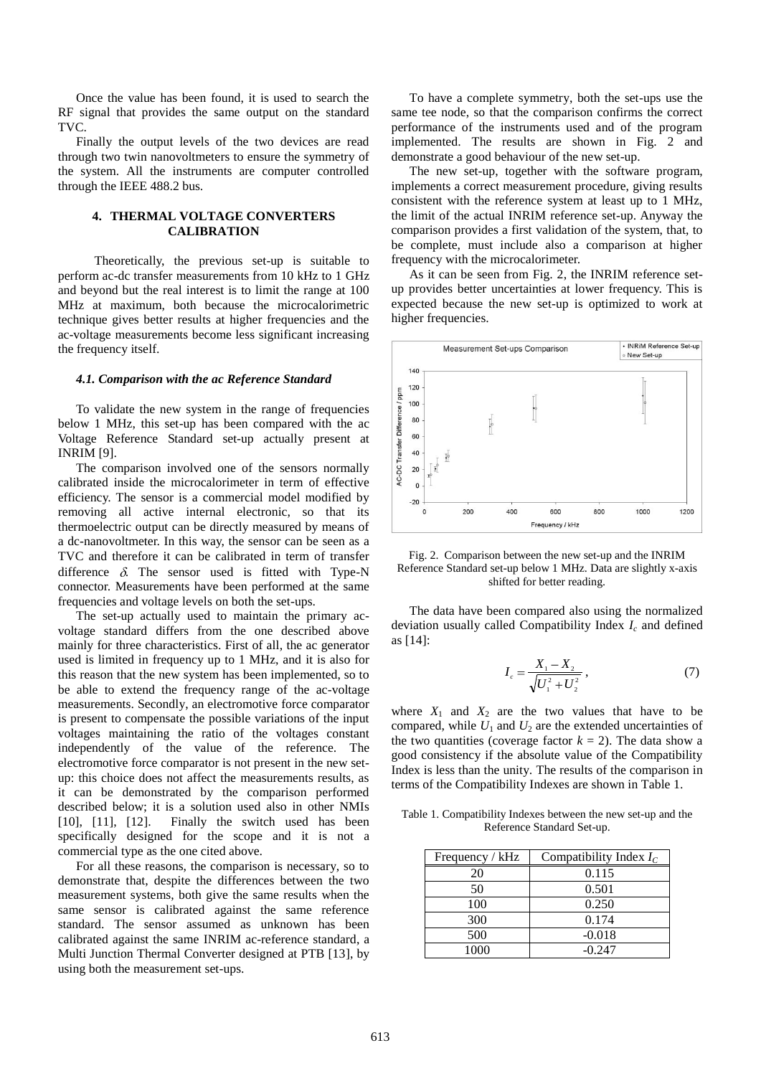Once the value has been found, it is used to search the RF signal that provides the same output on the standard TVC.

Finally the output levels of the two devices are read through two twin nanovoltmeters to ensure the symmetry of the system. All the instruments are computer controlled through the IEEE 488.2 bus.

# **4. THERMAL VOLTAGE CONVERTERS CALIBRATION**

Theoretically, the previous set-up is suitable to perform ac-dc transfer measurements from 10 kHz to 1 GHz and beyond but the real interest is to limit the range at 100 MHz at maximum, both because the microcalorimetric technique gives better results at higher frequencies and the ac-voltage measurements become less significant increasing the frequency itself.

### *4.1. Comparison with the ac Reference Standard*

To validate the new system in the range of frequencies below 1 MHz, this set-up has been compared with the ac Voltage Reference Standard set-up actually present at INRIM [9].

The comparison involved one of the sensors normally calibrated inside the microcalorimeter in term of effective efficiency. The sensor is a commercial model modified by removing all active internal electronic, so that its thermoelectric output can be directly measured by means of a dc-nanovoltmeter. In this way, the sensor can be seen as a TVC and therefore it can be calibrated in term of transfer difference  $\delta$ . The sensor used is fitted with Type-N connector. Measurements have been performed at the same frequencies and voltage levels on both the set-ups.

The set-up actually used to maintain the primary acvoltage standard differs from the one described above mainly for three characteristics. First of all, the ac generator used is limited in frequency up to 1 MHz, and it is also for this reason that the new system has been implemented, so to be able to extend the frequency range of the ac-voltage measurements. Secondly, an electromotive force comparator is present to compensate the possible variations of the input voltages maintaining the ratio of the voltages constant independently of the value of the reference. The electromotive force comparator is not present in the new setup: this choice does not affect the measurements results, as it can be demonstrated by the comparison performed described below; it is a solution used also in other NMIs [10], [11], [12]. Finally the switch used has been specifically designed for the scope and it is not a commercial type as the one cited above.

For all these reasons, the comparison is necessary, so to demonstrate that, despite the differences between the two measurement systems, both give the same results when the same sensor is calibrated against the same reference standard. The sensor assumed as unknown has been calibrated against the same INRIM ac-reference standard, a Multi Junction Thermal Converter designed at PTB [13], by using both the measurement set-ups.

To have a complete symmetry, both the set-ups use the same tee node, so that the comparison confirms the correct performance of the instruments used and of the program implemented. The results are shown in Fig. 2 and demonstrate a good behaviour of the new set-up.

The new set-up, together with the software program, implements a correct measurement procedure, giving results consistent with the reference system at least up to 1 MHz, the limit of the actual INRIM reference set-up. Anyway the comparison provides a first validation of the system, that, to be complete, must include also a comparison at higher frequency with the microcalorimeter.

As it can be seen from Fig. 2, the INRIM reference setup provides better uncertainties at lower frequency. This is expected because the new set-up is optimized to work at higher frequencies.



Fig. 2. Comparison between the new set-up and the INRIM Reference Standard set-up below 1 MHz. Data are slightly x-axis shifted for better reading.

The data have been compared also using the normalized deviation usually called Compatibility Index *I<sup>c</sup>* and defined as [14]:

$$
I_c = \frac{X_1 - X_2}{\sqrt{U_1^2 + U_2^2}}\,,\tag{7}
$$

where  $X_1$  and  $X_2$  are the two values that have to be compared, while  $U_1$  and  $U_2$  are the extended uncertainties of the two quantities (coverage factor  $k = 2$ ). The data show a good consistency if the absolute value of the Compatibility Index is less than the unity. The results of the comparison in terms of the Compatibility Indexes are shown in Table 1.

Table 1. Compatibility Indexes between the new set-up and the Reference Standard Set-up.

| Frequency / kHz | Compatibility Index $I_c$ |
|-----------------|---------------------------|
| 20              | 0.115                     |
| 50              | 0.501                     |
| 100             | 0.250                     |
| 300             | 0.174                     |
| 500             | $-0.018$                  |
| 1000            | $-0.247$                  |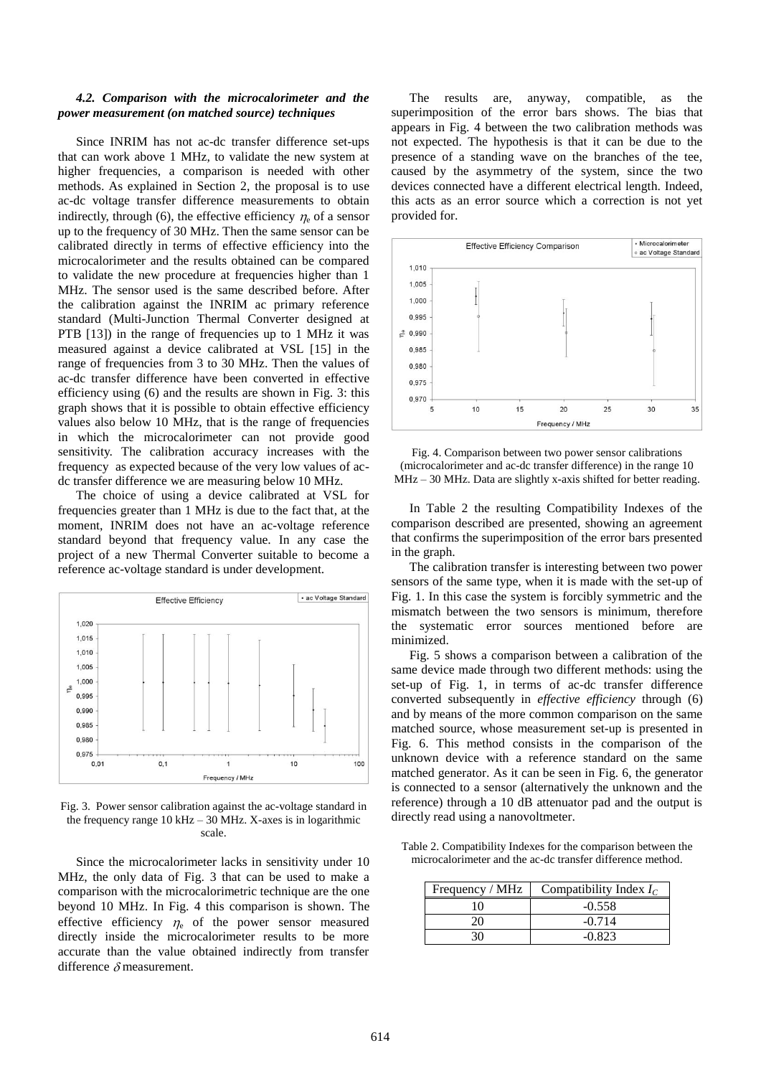## *4.2. Comparison with the microcalorimeter and the power measurement (on matched source) techniques*

Since INRIM has not ac-dc transfer difference set-ups that can work above 1 MHz, to validate the new system at higher frequencies, a comparison is needed with other methods. As explained in Section 2, the proposal is to use ac-dc voltage transfer difference measurements to obtain indirectly, through (6), the effective efficiency  $\eta_e$  of a sensor up to the frequency of 30 MHz. Then the same sensor can be calibrated directly in terms of effective efficiency into the microcalorimeter and the results obtained can be compared to validate the new procedure at frequencies higher than 1 MHz. The sensor used is the same described before. After the calibration against the INRIM ac primary reference standard (Multi-Junction Thermal Converter designed at PTB [13]) in the range of frequencies up to 1 MHz it was measured against a device calibrated at VSL [15] in the range of frequencies from 3 to 30 MHz. Then the values of ac-dc transfer difference have been converted in effective efficiency using (6) and the results are shown in Fig. 3: this graph shows that it is possible to obtain effective efficiency values also below 10 MHz, that is the range of frequencies in which the microcalorimeter can not provide good sensitivity. The calibration accuracy increases with the frequency as expected because of the very low values of acdc transfer difference we are measuring below 10 MHz.

The choice of using a device calibrated at VSL for frequencies greater than 1 MHz is due to the fact that, at the moment, INRIM does not have an ac-voltage reference standard beyond that frequency value. In any case the project of a new Thermal Converter suitable to become a reference ac-voltage standard is under development.



Fig. 3. Power sensor calibration against the ac-voltage standard in the frequency range  $10 \text{ kHz} - 30 \text{ MHz}$ . X-axes is in logarithmic scale.

Since the microcalorimeter lacks in sensitivity under 10 MHz, the only data of Fig. 3 that can be used to make a comparison with the microcalorimetric technique are the one beyond 10 MHz. In Fig. 4 this comparison is shown. The effective efficiency  $\eta_e$  of the power sensor measured directly inside the microcalorimeter results to be more accurate than the value obtained indirectly from transfer difference  $\delta$  measurement.

The results are, anyway, compatible, as the superimposition of the error bars shows. The bias that appears in Fig. 4 between the two calibration methods was not expected. The hypothesis is that it can be due to the presence of a standing wave on the branches of the tee, caused by the asymmetry of the system, since the two devices connected have a different electrical length. Indeed, this acts as an error source which a correction is not yet provided for.



Fig. 4. Comparison between two power sensor calibrations (microcalorimeter and ac-dc transfer difference) in the range 10 MHz – 30 MHz. Data are slightly x-axis shifted for better reading.

In Table 2 the resulting Compatibility Indexes of the comparison described are presented, showing an agreement that confirms the superimposition of the error bars presented in the graph.

The calibration transfer is interesting between two power sensors of the same type, when it is made with the set-up of Fig. 1. In this case the system is forcibly symmetric and the mismatch between the two sensors is minimum, therefore the systematic error sources mentioned before are minimized.

Fig. 5 shows a comparison between a calibration of the same device made through two different methods: using the set-up of Fig. 1, in terms of ac-dc transfer difference converted subsequently in *effective efficiency* through (6) and by means of the more common comparison on the same matched source, whose measurement set-up is presented in Fig. 6. This method consists in the comparison of the unknown device with a reference standard on the same matched generator. As it can be seen in Fig. 6, the generator is connected to a sensor (alternatively the unknown and the reference) through a 10 dB attenuator pad and the output is directly read using a nanovoltmeter.

Table 2. Compatibility Indexes for the comparison between the microcalorimeter and the ac-dc transfer difference method.

| Frequency / MHz | Compatibility Index $I_C$ |
|-----------------|---------------------------|
| 10              | $-0.558$                  |
|                 | $-0.714$                  |
|                 | $-0.823$                  |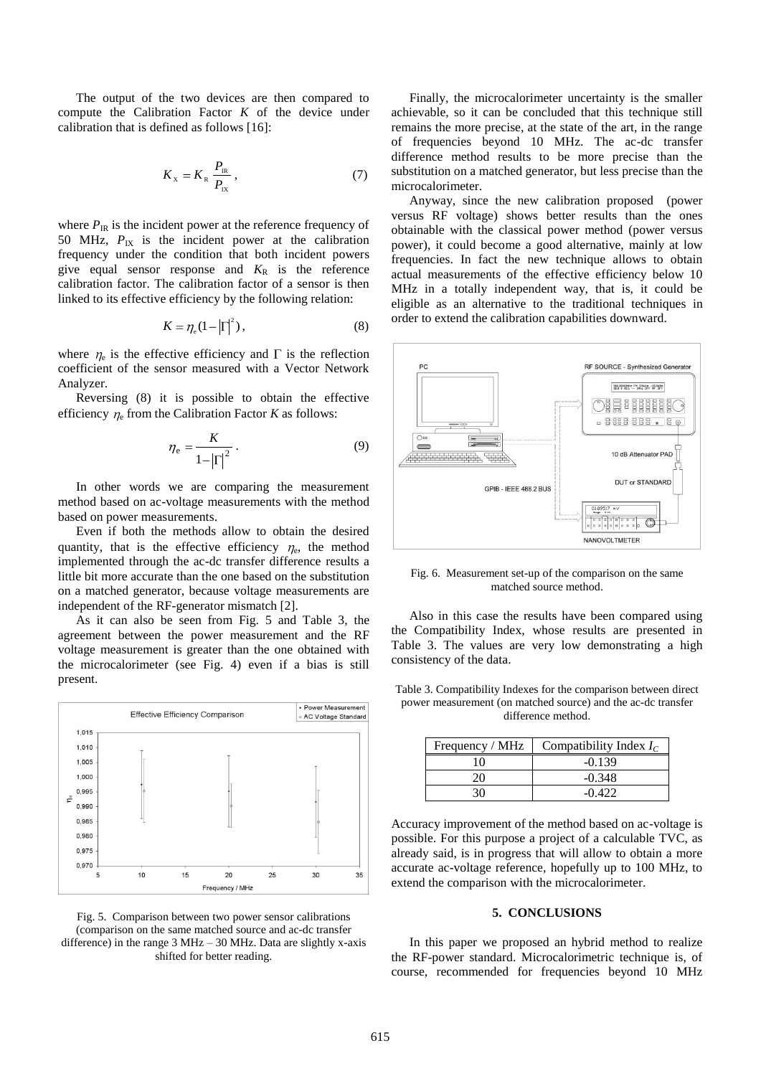The output of the two devices are then compared to compute the Calibration Factor  $K$  of the device under calibration that is defined as follows [16]:

$$
K_{\rm x} = K_{\rm R} \frac{P_{\rm IR}}{P_{\rm IX}}\,,\tag{7}
$$

where  $P_{\text{IR}}$  is the incident power at the reference frequency of 50 MHz,  $P_{IX}$  is the incident power at the calibration frequency under the condition that both incident powers give equal sensor response and  $K_R$  is the reference calibration factor. The calibration factor of a sensor is then linked to its effective efficiency by the following relation:

$$
K = \eta_{\rm e} (1 - \left| \Gamma \right|^2),\tag{8}
$$

where  $\eta_e$  is the effective efficiency and  $\Gamma$  is the reflection coefficient of the sensor measured with a Vector Network Analyzer.

Reversing (8) it is possible to obtain the effective efficiency  $\eta_e$  from the Calibration Factor *K* as follows:

$$
\eta_{\rm e} = \frac{K}{1 - |\Gamma|^2} \,. \tag{9}
$$

In other words we are comparing the measurement method based on ac-voltage measurements with the method based on power measurements.

Even if both the methods allow to obtain the desired quantity, that is the effective efficiency  $\eta_e$ , the method implemented through the ac-dc transfer difference results a little bit more accurate than the one based on the substitution on a matched generator, because voltage measurements are independent of the RF-generator mismatch [2].

As it can also be seen from Fig. 5 and Table 3, the agreement between the power measurement and the RF voltage measurement is greater than the one obtained with the microcalorimeter (see Fig. 4) even if a bias is still present.



Fig. 5. Comparison between two power sensor calibrations (comparison on the same matched source and ac-dc transfer difference) in the range 3 MHz – 30 MHz. Data are slightly x-axis shifted for better reading.

Finally, the microcalorimeter uncertainty is the smaller achievable, so it can be concluded that this technique still remains the more precise, at the state of the art, in the range of frequencies beyond 10 MHz. The ac-dc transfer difference method results to be more precise than the substitution on a matched generator, but less precise than the microcalorimeter.

Anyway, since the new calibration proposed (power versus RF voltage) shows better results than the ones obtainable with the classical power method (power versus power), it could become a good alternative, mainly at low frequencies. In fact the new technique allows to obtain actual measurements of the effective efficiency below 10 MHz in a totally independent way, that is, it could be eligible as an alternative to the traditional techniques in order to extend the calibration capabilities downward.



Fig. 6. Measurement set-up of the comparison on the same matched source method.

Also in this case the results have been compared using the Compatibility Index, whose results are presented in Table 3. The values are very low demonstrating a high consistency of the data.

Table 3. Compatibility Indexes for the comparison between direct power measurement (on matched source) and the ac-dc transfer difference method.

| Frequency / MHz | Compatibility Index $I_c$ |
|-----------------|---------------------------|
| 10              | $-0.139$                  |
| 20              | $-0.348$                  |
| 30              | $-0.422$                  |

Accuracy improvement of the method based on ac-voltage is possible. For this purpose a project of a calculable TVC, as already said, is in progress that will allow to obtain a more accurate ac-voltage reference, hopefully up to 100 MHz, to extend the comparison with the microcalorimeter.

## **5. CONCLUSIONS**

In this paper we proposed an hybrid method to realize the RF-power standard. Microcalorimetric technique is, of course, recommended for frequencies beyond 10 MHz